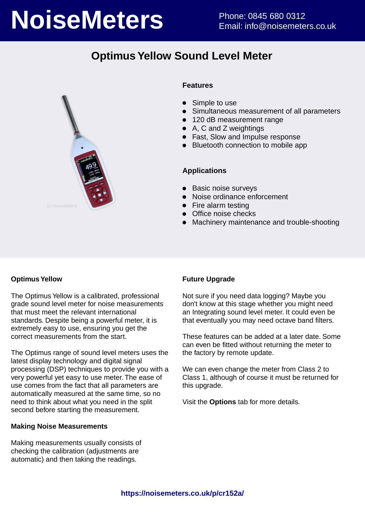# **NoiseMeters** Phone: 0845 680 0312

# **Optimus Yellow Sound Level Meter**



#### **Features**

- Simple to use
- Simultaneous measurement of all parameters
- 120 dB measurement range
- A, C and Z weightings
- Fast, Slow and Impulse response
- Bluetooth connection to mobile app

#### **Applications**

- Basic noise surveys
- Noise ordinance enforcement
- Fire alarm testing
- Office noise checks
- Machinery maintenance and trouble-shooting

#### **Optimus Yellow**

The Optimus Yellow is a calibrated, professional grade sound level meter for noise measurements that must meet the relevant international standards. Despite being a powerful meter, it is extremely easy to use, ensuring you get the correct measurements from the start.

The Optimus range of sound level meters uses the latest display technology and digital signal processing (DSP) techniques to provide you with a very powerful yet easy to use meter. The ease of use comes from the fact that all parameters are automatically measured at the same time, so no need to think about what you need in the split second before starting the measurement.

#### **Making Noise Measurements**

Making measurements usually consists of checking the calibration (adjustments are automatic) and then taking the readings.

#### **Future Upgrade**

Not sure if you need data logging? Maybe you don't know at this stage whether you might need an Integrating sound level meter. It could even be that eventually you may need octave band filters.

These features can be added at a later date. Some can even be fitted without returning the meter to the factory by remote update.

We can even change the meter from Class 2 to Class 1, although of course it must be returned for this upgrade.

Visit the **Options** tab for more details.